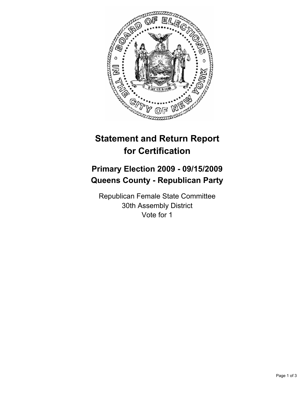

# **Statement and Return Report for Certification**

## **Primary Election 2009 - 09/15/2009 Queens County - Republican Party**

Republican Female State Committee 30th Assembly District Vote for 1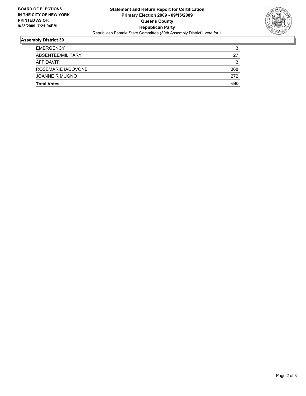

### **Assembly District 30**

| <b>EMERGENCY</b>   | 3   |
|--------------------|-----|
| ABSENTEE/MILITARY  | 27  |
| AFFIDAVIT          | 3   |
| ROSEMARIE IACOVONE | 368 |
| JOANNE R MUGNO     | 272 |
| <b>Total Votes</b> | 640 |